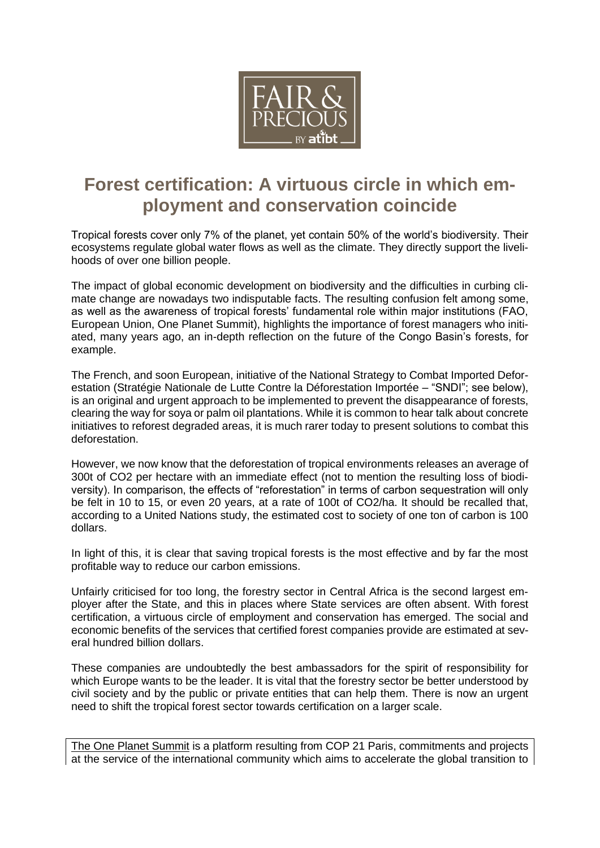

## **Forest certification: A virtuous circle in which employment and conservation coincide**

Tropical forests cover only 7% of the planet, yet contain 50% of the world's biodiversity. Their ecosystems regulate global water flows as well as the climate. They directly support the livelihoods of over one billion people.

The impact of global economic development on biodiversity and the difficulties in curbing climate change are nowadays two indisputable facts. The resulting confusion felt among some, as well as the awareness of tropical forests' fundamental role within major institutions (FAO, European Union, One Planet Summit), highlights the importance of forest managers who initiated, many years ago, an in-depth reflection on the future of the Congo Basin's forests, for example.

The French, and soon European, initiative of the National Strategy to Combat Imported Deforestation (Stratégie Nationale de Lutte Contre la Déforestation Importée – "SNDI"; see below), is an original and urgent approach to be implemented to prevent the disappearance of forests, clearing the way for soya or palm oil plantations. While it is common to hear talk about concrete initiatives to reforest degraded areas, it is much rarer today to present solutions to combat this deforestation.

However, we now know that the deforestation of tropical environments releases an average of 300t of CO2 per hectare with an immediate effect (not to mention the resulting loss of biodiversity). In comparison, the effects of "reforestation" in terms of carbon sequestration will only be felt in 10 to 15, or even 20 years, at a rate of 100t of CO2/ha. It should be recalled that, according to a United Nations study, the estimated cost to society of one ton of carbon is 100 dollars.

In light of this, it is clear that saving tropical forests is the most effective and by far the most profitable way to reduce our carbon emissions.

Unfairly criticised for too long, the forestry sector in Central Africa is the second largest employer after the State, and this in places where State services are often absent. With forest certification, a virtuous circle of employment and conservation has emerged. The social and economic benefits of the services that certified forest companies provide are estimated at several hundred billion dollars.

These companies are undoubtedly the best ambassadors for the spirit of responsibility for which Europe wants to be the leader. It is vital that the forestry sector be better understood by civil society and by the public or private entities that can help them. There is now an urgent need to shift the tropical forest sector towards certification on a larger scale.

The One Planet Summit is a platform resulting from COP 21 Paris, commitments and projects at the service of the international community which aims to accelerate the global transition to